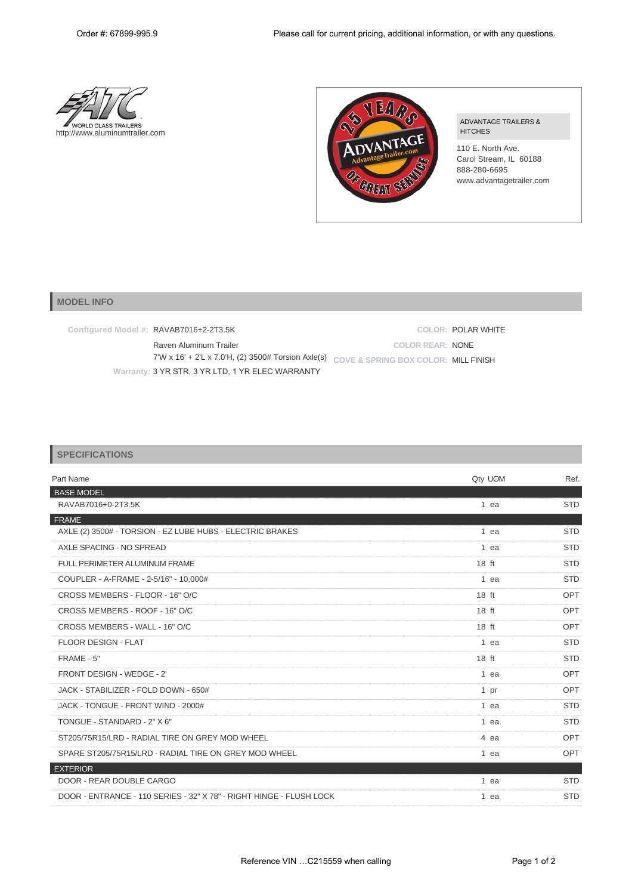



ADVANTAGE TRAILERS & **HITCHES** 

110 E. North Ave. Carol Stream, IL 60188 888-280-6695 www.advantagetrailer.com

## **MODEL INFO**

**Configured Model #:** RAVAB7016+2-2T3.5K

**COLOR:** POLAR WHITE **COLOR REAR:** NONE

Raven Aluminum Trailer 7'W x 16' + 2'L x 7.0'H, (2) 3500# Torsion Axle(s) **COVE & SPRING BOX COLOR:** MILL FINISH **Warranty:** 3 YR STR, 3 YR LTD, 1 YR ELEC WARRANTY

| <b>SPECIFICATIONS</b> |  |
|-----------------------|--|
|-----------------------|--|

| Part Name                                                           | Qty UOM          | Ref.       |
|---------------------------------------------------------------------|------------------|------------|
| <b>BASE MODEL</b>                                                   |                  |            |
| RAVAB7016+0-2T3.5K                                                  | 1 ea             | <b>STD</b> |
| <b>FRAME</b>                                                        |                  |            |
| AXLE (2) 3500# - TORSION - EZ LUBE HUBS - ELECTRIC BRAKES           | 1 ea             | <b>STD</b> |
| AXLE SPACING - NO SPREAD                                            | 1 ea             | <b>STD</b> |
| FULL PERIMETER ALUMINUM FRAME                                       | $18$ ft          | <b>STD</b> |
| COUPLER - A-FRAME - 2-5/16" - 10,000#                               | 1 ea             | <b>STD</b> |
| CROSS MEMBERS - FLOOR - 16" O/C                                     | 18 <sub>ft</sub> | OPT        |
| CROSS MEMBERS - ROOF - 16" O/C                                      | $18$ ft          | OPT        |
| CROSS MEMBERS - WALL - 16" O/C                                      | $18$ ft          | OPT        |
| <b>FLOOR DESIGN - FLAT</b>                                          | 1 ea             | <b>STD</b> |
| FRAME - 5"                                                          | $18$ ft          | <b>STD</b> |
| FRONT DESIGN - WEDGE - 2'                                           | 1 ea             | <b>OPT</b> |
| JACK - STABILIZER - FOLD DOWN - 650#                                | 1 <sub>pr</sub>  | OPT        |
| JACK - TONGUE - FRONT WIND - 2000#                                  | 1 ea             | <b>STD</b> |
| TONGUE - STANDARD - 2" X 6"                                         | 1 ea             | <b>STD</b> |
| ST205/75R15/LRD - RADIAL TIRE ON GREY MOD WHEEL                     | 4 ea             | <b>OPT</b> |
| SPARE ST205/75R15/LRD - RADIAL TIRE ON GREY MOD WHEEL               | 1 ea             | OPT        |
| <b>EXTERIOR</b>                                                     |                  |            |
| DOOR - REAR DOUBLE CARGO                                            | 1 ea             | <b>STD</b> |
| DOOR - ENTRANCE - 110 SERIES - 32" X 78" - RIGHT HINGE - FLUSH LOCK | 1 ea             | <b>STD</b> |